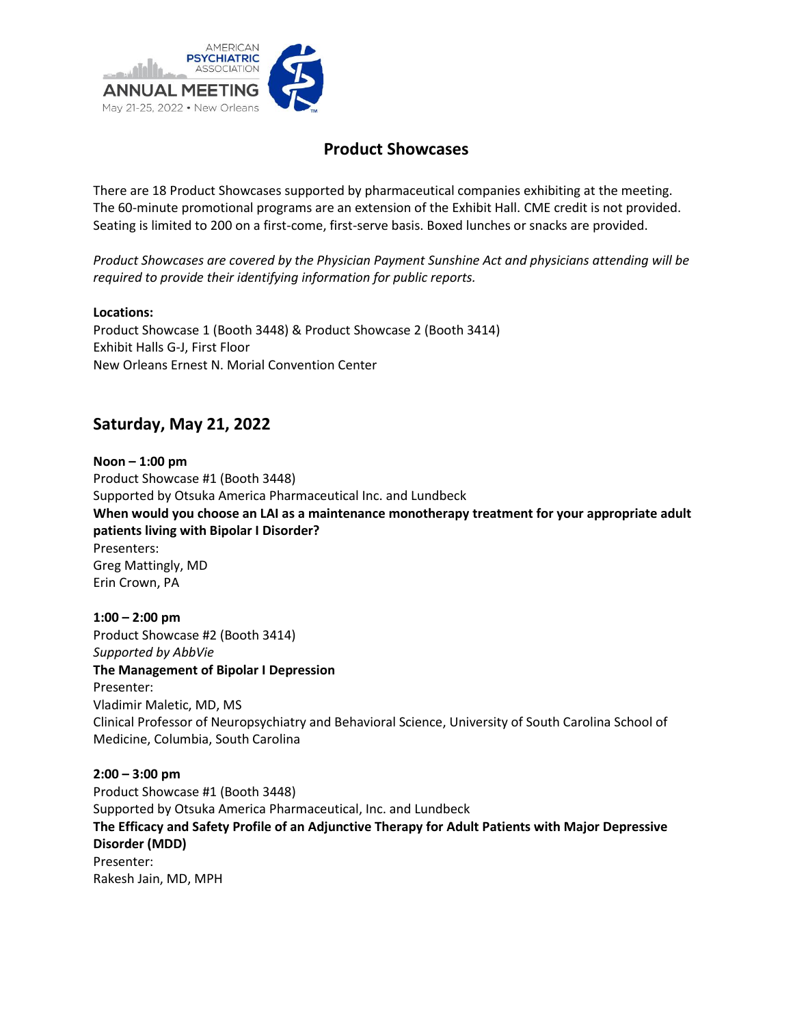

# **Product Showcases**

There are 18 Product Showcases supported by pharmaceutical companies exhibiting at the meeting. The 60-minute promotional programs are an extension of the Exhibit Hall. CME credit is not provided. Seating is limited to 200 on a first-come, first-serve basis. Boxed lunches or snacks are provided.

*Product Showcases are covered by the Physician Payment Sunshine Act and physicians attending will be required to provide their identifying information for public reports.*

#### **Locations:**

Product Showcase 1 (Booth 3448) & Product Showcase 2 (Booth 3414) Exhibit Halls G-J, First Floor New Orleans Ernest N. Morial Convention Center

# **Saturday, May 21, 2022**

**Noon – 1:00 pm** Product Showcase #1 (Booth 3448) Supported by Otsuka America Pharmaceutical Inc. and Lundbeck **When would you choose an LAI as a maintenance monotherapy treatment for your appropriate adult patients living with Bipolar I Disorder?**  Presenters: Greg Mattingly, MD Erin Crown, PA

**1:00 – 2:00 pm** Product Showcase #2 (Booth 3414) *Supported by AbbVie*  **The Management of Bipolar I Depression** Presenter: Vladimir Maletic, MD, MS Clinical Professor of Neuropsychiatry and Behavioral Science, University of South Carolina School of Medicine, Columbia, South Carolina

**2:00 – 3:00 pm** Product Showcase #1 (Booth 3448) Supported by Otsuka America Pharmaceutical, Inc. and Lundbeck **The Efficacy and Safety Profile of an Adjunctive Therapy for Adult Patients with Major Depressive Disorder (MDD)**  Presenter: Rakesh Jain, MD, MPH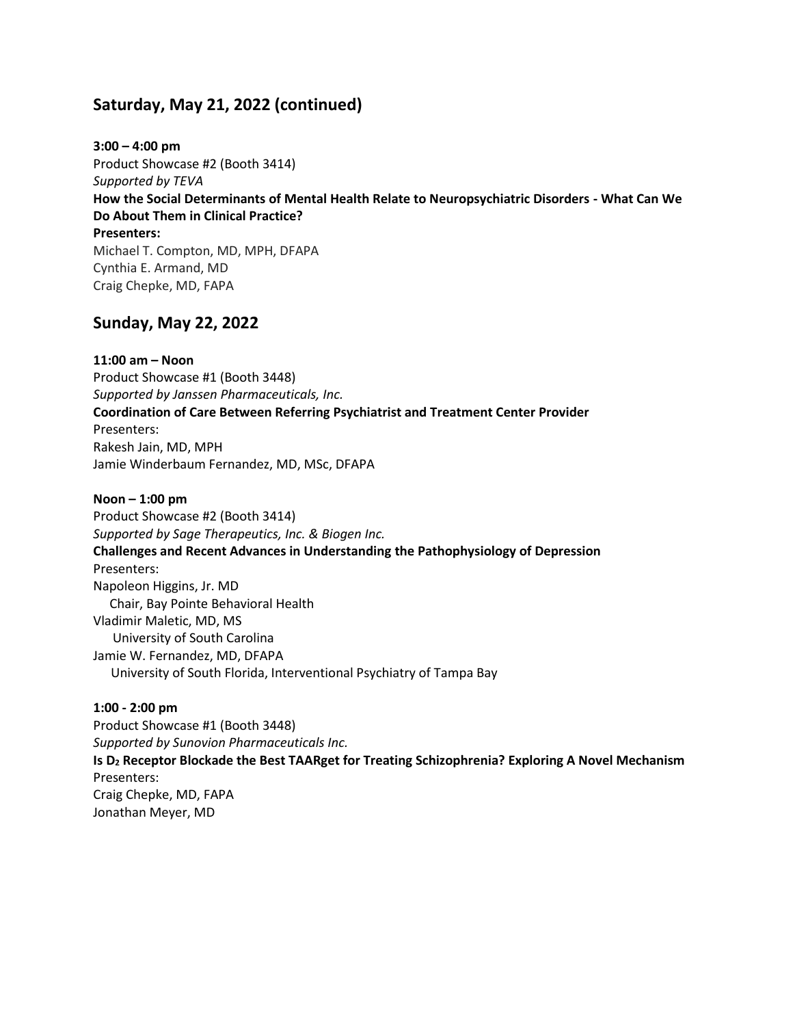# **Saturday, May 21, 2022 (continued)**

**3:00 – 4:00 pm** Product Showcase #2 (Booth 3414) *Supported by TEVA*  **How the Social Determinants of Mental Health Relate to Neuropsychiatric Disorders - What Can We Do About Them in Clinical Practice? Presenters:** Michael T. Compton, MD, MPH, DFAPA Cynthia E. Armand, MD Craig Chepke, MD, FAPA

### **Sunday, May 22, 2022**

**11:00 am – Noon** Product Showcase #1 (Booth 3448) *Supported by Janssen Pharmaceuticals, Inc.*  **Coordination of Care Between Referring Psychiatrist and Treatment Center Provider** Presenters: Rakesh Jain, MD, MPH Jamie Winderbaum Fernandez, MD, MSc, DFAPA

**Noon – 1:00 pm** Product Showcase #2 (Booth 3414) *Supported by Sage Therapeutics, Inc. & Biogen Inc.* **Challenges and Recent Advances in Understanding the Pathophysiology of Depression** Presenters: Napoleon Higgins, Jr. MD Chair, Bay Pointe Behavioral Health Vladimir Maletic, MD, MS University of South Carolina Jamie W. Fernandez, MD, DFAPA University of South Florida, Interventional Psychiatry of Tampa Bay

#### **1:00 - 2:00 pm**

Product Showcase #1 (Booth 3448) *Supported by Sunovion Pharmaceuticals Inc.* **Is D<sup>2</sup> Receptor Blockade the Best TAARget for Treating Schizophrenia? Exploring A Novel Mechanism** Presenters: Craig Chepke, MD, FAPA Jonathan Meyer, MD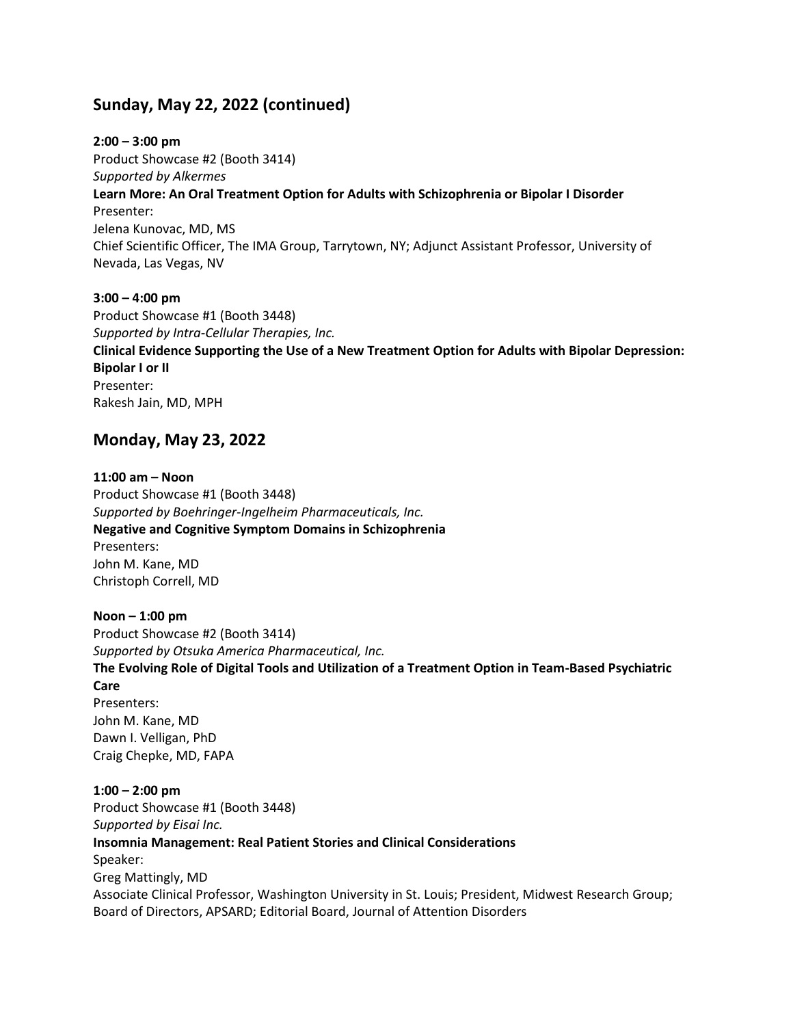# **Sunday, May 22, 2022 (continued)**

**2:00 – 3:00 pm** Product Showcase #2 (Booth 3414) *Supported by Alkermes* **Learn More: An Oral Treatment Option for Adults with Schizophrenia or Bipolar I Disorder** Presenter: Jelena Kunovac, MD, MS Chief Scientific Officer, The IMA Group, Tarrytown, NY; Adjunct Assistant Professor, University of Nevada, Las Vegas, NV

**3:00 – 4:00 pm** Product Showcase #1 (Booth 3448) *Supported by Intra-Cellular Therapies, Inc.* **Clinical Evidence Supporting the Use of a New Treatment Option for Adults with Bipolar Depression: Bipolar I or II** Presenter: Rakesh Jain, MD, MPH

### **Monday, May 23, 2022**

**11:00 am – Noon** Product Showcase #1 (Booth 3448) *Supported by Boehringer-Ingelheim Pharmaceuticals, Inc.* **Negative and Cognitive Symptom Domains in Schizophrenia** Presenters: John M. Kane, MD Christoph Correll, MD

**Noon – 1:00 pm** Product Showcase #2 (Booth 3414) *Supported by Otsuka America Pharmaceutical, Inc.* **The Evolving Role of Digital Tools and Utilization of a Treatment Option in Team-Based Psychiatric Care** Presenters: John M. Kane, MD Dawn I. Velligan, PhD Craig Chepke, MD, FAPA **1:00 – 2:00 pm** Product Showcase #1 (Booth 3448) *Supported by Eisai Inc.* **Insomnia Management: Real Patient Stories and Clinical Considerations**

Speaker: Greg Mattingly, MD Associate Clinical Professor, Washington University in St. Louis; President, Midwest Research Group; Board of Directors, APSARD; Editorial Board, Journal of Attention Disorders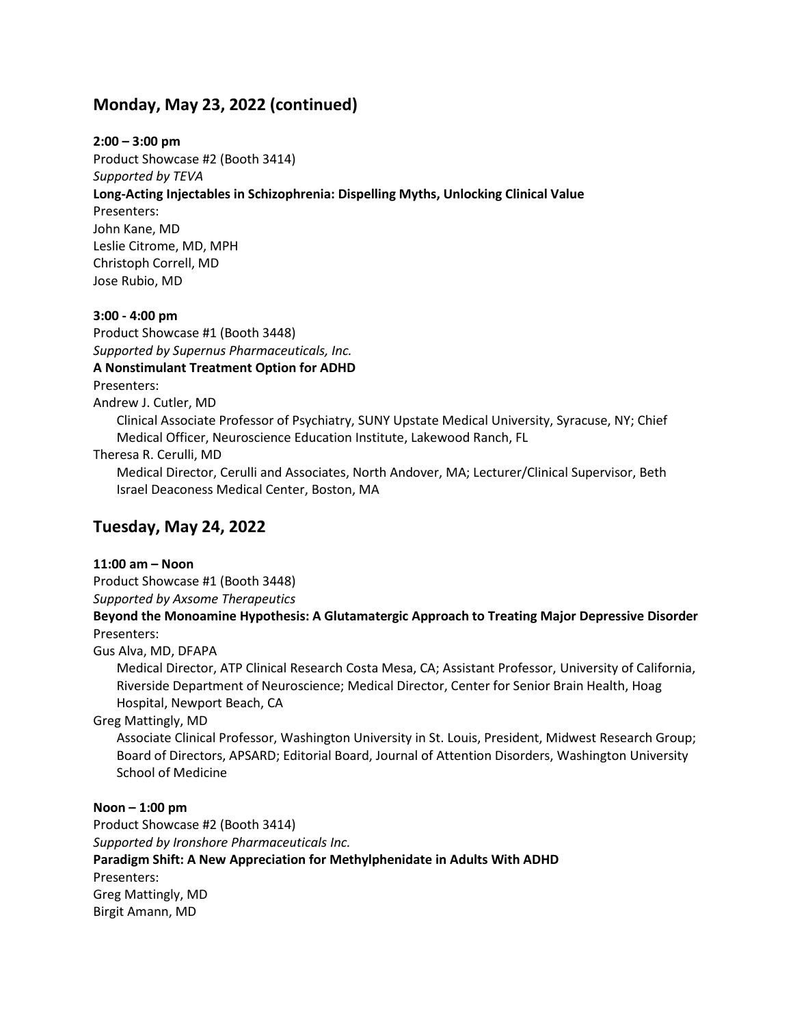### **Monday, May 23, 2022 (continued)**

#### **2:00 – 3:00 pm**

Product Showcase #2 (Booth 3414) *Supported by TEVA*  **Long-Acting Injectables in Schizophrenia: Dispelling Myths, Unlocking Clinical Value**  Presenters: John Kane, MD Leslie Citrome, MD, MPH Christoph Correll, MD Jose Rubio, MD

#### **3:00 - 4:00 pm**

Product Showcase #1 (Booth 3448) *Supported by Supernus Pharmaceuticals, Inc.* **A Nonstimulant Treatment Option for ADHD** Presenters:

Andrew J. Cutler, MD

Clinical Associate Professor of Psychiatry, SUNY Upstate Medical University, Syracuse, NY; Chief Medical Officer, Neuroscience Education Institute, Lakewood Ranch, FL

Theresa R. Cerulli, MD

Medical Director, Cerulli and Associates, North Andover, MA; Lecturer/Clinical Supervisor, Beth Israel Deaconess Medical Center, Boston, MA

# **Tuesday, May 24, 2022**

#### **11:00 am – Noon**

Product Showcase #1 (Booth 3448)

*Supported by Axsome Therapeutics*

**Beyond the Monoamine Hypothesis: A Glutamatergic Approach to Treating Major Depressive Disorder** Presenters:

Gus Alva, MD, DFAPA

Medical Director, ATP Clinical Research Costa Mesa, CA; Assistant Professor, University of California, Riverside Department of Neuroscience; Medical Director, Center for Senior Brain Health, Hoag Hospital, Newport Beach, CA

#### Greg Mattingly, MD

Associate Clinical Professor, Washington University in St. Louis, President, Midwest Research Group; Board of Directors, APSARD; Editorial Board, Journal of Attention Disorders, Washington University School of Medicine

#### **Noon – 1:00 pm**

Product Showcase #2 (Booth 3414) *Supported by Ironshore Pharmaceuticals Inc.* **Paradigm Shift: A New Appreciation for Methylphenidate in Adults With ADHD** Presenters: Greg Mattingly, MD Birgit Amann, MD